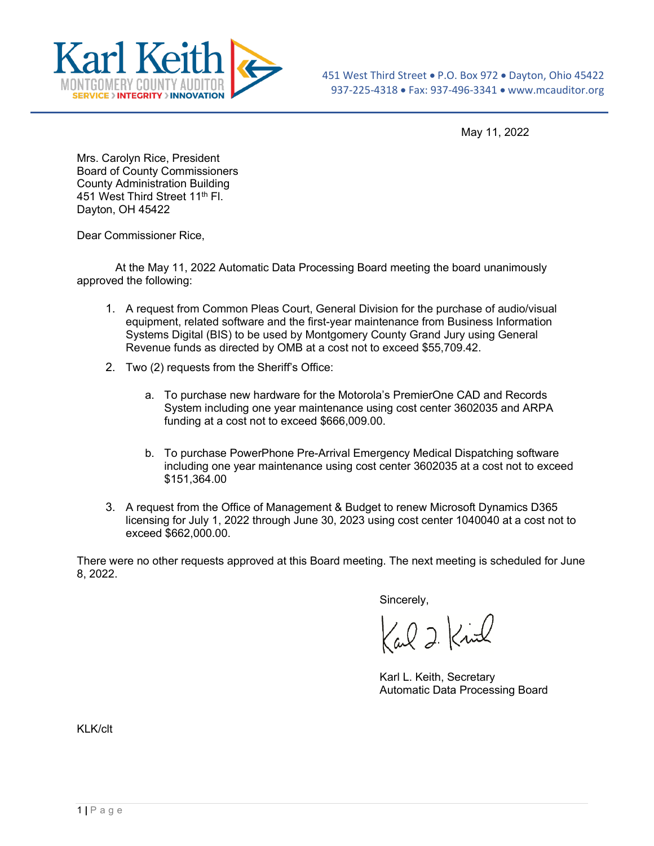

May 11, 2022

Mrs. Carolyn Rice, President Board of County Commissioners County Administration Building 451 West Third Street 11<sup>th</sup> Fl. Dayton, OH 45422

Dear Commissioner Rice,

At the May 11, 2022 Automatic Data Processing Board meeting the board unanimously approved the following:

- 1. A request from Common Pleas Court, General Division for the purchase of audio/visual equipment, related software and the first-year maintenance from Business Information Systems Digital (BIS) to be used by Montgomery County Grand Jury using General Revenue funds as directed by OMB at a cost not to exceed \$55,709.42.
- 2. Two (2) requests from the Sheriff's Office:
	- a. To purchase new hardware for the Motorola's PremierOne CAD and Records System including one year maintenance using cost center 3602035 and ARPA funding at a cost not to exceed \$666,009.00.
	- b. To purchase PowerPhone Pre-Arrival Emergency Medical Dispatching software including one year maintenance using cost center 3602035 at a cost not to exceed \$151,364.00
- 3. A request from the Office of Management & Budget to renew Microsoft Dynamics D365 licensing for July 1, 2022 through June 30, 2023 using cost center 1040040 at a cost not to exceed \$662,000.00.

There were no other requests approved at this Board meeting. The next meeting is scheduled for June 8, 2022.

Sincerely,

Kal 2 Kinl

Karl L. Keith, Secretary Automatic Data Processing Board

KLK/clt